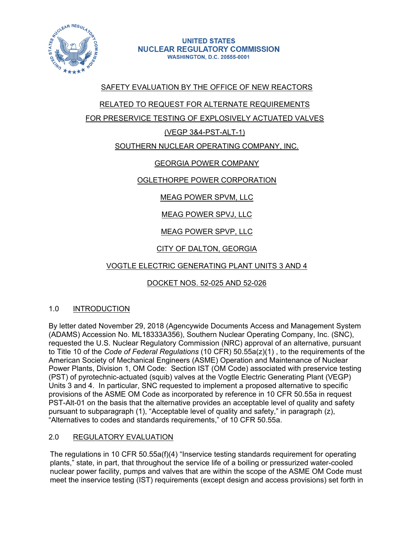

# SAFETY EVALUATION BY THE OFFICE OF NEW REACTORS

## RELATED TO REQUEST FOR ALTERNATE REQUIREMENTS

FOR PRESERVICE TESTING OF EXPLOSIVELY ACTUATED VALVES

## (VEGP 3&4-PST-ALT-1)

## SOUTHERN NUCLEAR OPERATING COMPANY, INC.

# GEORGIA POWER COMPANY

## OGLETHORPE POWER CORPORATION

# MEAG POWER SPVM, LLC

# MEAG POWER SPVJ, LLC

# MEAG POWER SPVP, LLC

# CITY OF DALTON, GEORGIA

# VOGTLE ELECTRIC GENERATING PLANT UNITS 3 AND 4

# DOCKET NOS. 52-025 AND 52-026

## 1.0 INTRODUCTION

By letter dated November 29, 2018 (Agencywide Documents Access and Management System (ADAMS) Accession No. ML18333A356), Southern Nuclear Operating Company, Inc. (SNC), requested the U.S. Nuclear Regulatory Commission (NRC) approval of an alternative, pursuant to Title 10 of the *Code of Federal Regulations* (10 CFR) 50.55a(z)(1) , to the requirements of the American Society of Mechanical Engineers (ASME) Operation and Maintenance of Nuclear Power Plants, Division 1, OM Code: Section IST (OM Code) associated with preservice testing (PST) of pyrotechnic-actuated (squib) valves at the Vogtle Electric Generating Plant (VEGP) Units 3 and 4. In particular, SNC requested to implement a proposed alternative to specific provisions of the ASME OM Code as incorporated by reference in 10 CFR 50.55a in request PST-Alt-01 on the basis that the alternative provides an acceptable level of quality and safety pursuant to subparagraph (1), "Acceptable level of quality and safety," in paragraph (z), "Alternatives to codes and standards requirements," of 10 CFR 50.55a.

## 2.0 REGULATORY EVALUATION

The regulations in 10 CFR 50.55a(f)(4) "Inservice testing standards requirement for operating plants," state, in part, that throughout the service life of a boiling or pressurized water-cooled nuclear power facility, pumps and valves that are within the scope of the ASME OM Code must meet the inservice testing (IST) requirements (except design and access provisions) set forth in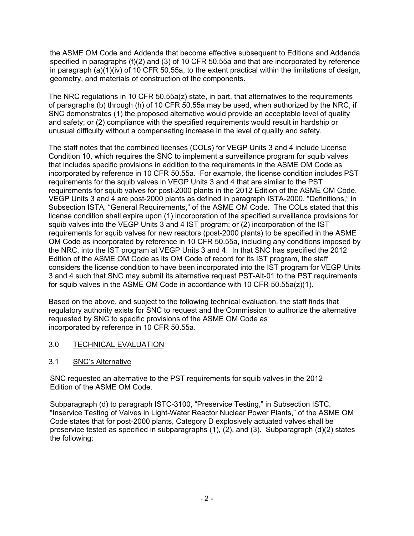the ASME OM Code and Addenda that become effective subsequent to Editions and Addenda specified in paragraphs (f)(2) and (3) of 10 CFR 50.55a and that are incorporated by reference in paragraph (a)(1)(iv) of 10 CFR 50.55a, to the extent practical within the limitations of design, geometry, and materials of construction of the components.

The NRC regulations in 10 CFR 50.55a(z) state, in part, that alternatives to the requirements of paragraphs (b) through (h) of 10 CFR 50.55a may be used, when authorized by the NRC, if SNC demonstrates (1) the proposed alternative would provide an acceptable level of quality and safety; or (2) compliance with the specified requirements would result in hardship or unusual difficulty without a compensating increase in the level of quality and safety.

The staff notes that the combined licenses (COLs) for VEGP Units 3 and 4 include License Condition 10, which requires the SNC to implement a surveillance program for squib valves that includes specific provisions in addition to the requirements in the ASME OM Code as incorporated by reference in 10 CFR 50.55a. For example, the license condition includes PST requirements for the squib valves in VEGP Units 3 and 4 that are similar to the PST requirements for squib valves for post-2000 plants in the 2012 Edition of the ASME OM Code. VEGP Units 3 and 4 are post-2000 plants as defined in paragraph ISTA-2000, "Definitions," in Subsection ISTA, "General Requirements," of the ASME OM Code. The COLs stated that this license condition shall expire upon (1) incorporation of the specified surveillance provisions for squib valves into the VEGP Units 3 and 4 IST program; or (2) incorporation of the IST requirements for squib valves for new reactors (post-2000 plants) to be specified in the ASME OM Code as incorporated by reference in 10 CFR 50.55a, including any conditions imposed by the NRC, into the IST program at VEGP Units 3 and 4. In that SNC has specified the 2012 Edition of the ASME OM Code as its OM Code of record for its IST program, the staff considers the license condition to have been incorporated into the IST program for VEGP Units 3 and 4 such that SNC may submit its alternative request PST-Alt-01 to the PST requirements for squib valves in the ASME OM Code in accordance with 10 CFR  $50.55a(z)(1)$ .

Based on the above, and subject to the following technical evaluation, the staff finds that regulatory authority exists for SNC to request and the Commission to authorize the alternative requested by SNC to specific provisions of the ASME OM Code as incorporated by reference in 10 CFR 50.55a.

- 3.0 TECHNICAL EVALUATION
- 3.1 SNC's Alternative

SNC requested an alternative to the PST requirements for squib valves in the 2012 Edition of the ASME OM Code.

Subparagraph (d) to paragraph ISTC-3100, "Preservice Testing," in Subsection ISTC, "Inservice Testing of Valves in Light-Water Reactor Nuclear Power Plants," of the ASME OM Code states that for post-2000 plants, Category D explosively actuated valves shall be preservice tested as specified in subparagraphs (1), (2), and (3). Subparagraph (d)(2) states the following: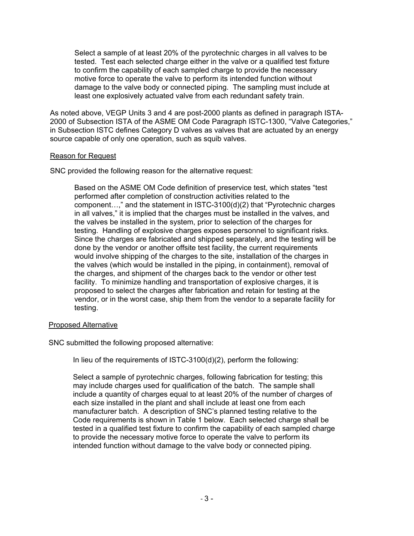Select a sample of at least 20% of the pyrotechnic charges in all valves to be tested. Test each selected charge either in the valve or a qualified test fixture to confirm the capability of each sampled charge to provide the necessary motive force to operate the valve to perform its intended function without damage to the valve body or connected piping. The sampling must include at least one explosively actuated valve from each redundant safety train.

As noted above, VEGP Units 3 and 4 are post-2000 plants as defined in paragraph ISTA-2000 of Subsection ISTA of the ASME OM Code Paragraph ISTC-1300, "Valve Categories," in Subsection ISTC defines Category D valves as valves that are actuated by an energy source capable of only one operation, such as squib valves.

### Reason for Request

SNC provided the following reason for the alternative request:

Based on the ASME OM Code definition of preservice test, which states "test performed after completion of construction activities related to the component…," and the statement in ISTC-3100(d)(2) that "Pyrotechnic charges in all valves," it is implied that the charges must be installed in the valves, and the valves be installed in the system, prior to selection of the charges for testing. Handling of explosive charges exposes personnel to significant risks. Since the charges are fabricated and shipped separately, and the testing will be done by the vendor or another offsite test facility, the current requirements would involve shipping of the charges to the site, installation of the charges in the valves (which would be installed in the piping, in containment), removal of the charges, and shipment of the charges back to the vendor or other test facility. To minimize handling and transportation of explosive charges, it is proposed to select the charges after fabrication and retain for testing at the vendor, or in the worst case, ship them from the vendor to a separate facility for testing.

## Proposed Alternative

SNC submitted the following proposed alternative:

In lieu of the requirements of ISTC-3100(d)(2), perform the following:

Select a sample of pyrotechnic charges, following fabrication for testing; this may include charges used for qualification of the batch. The sample shall include a quantity of charges equal to at least 20% of the number of charges of each size installed in the plant and shall include at least one from each manufacturer batch. A description of SNC's planned testing relative to the Code requirements is shown in Table 1 below. Each selected charge shall be tested in a qualified test fixture to confirm the capability of each sampled charge to provide the necessary motive force to operate the valve to perform its intended function without damage to the valve body or connected piping.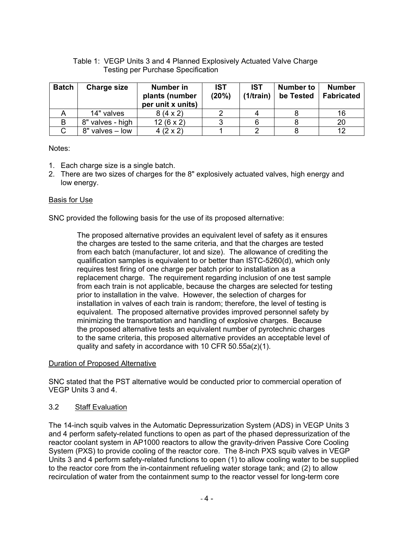## Table 1: VEGP Units 3 and 4 Planned Explosively Actuated Valve Charge Testing per Purchase Specification

| <b>Batch</b> | <b>Charge size</b> | <b>Number in</b><br>plants (number<br>per unit x units) | <b>IST</b><br>(20%) | <b>IST</b><br>(1/train) | <b>Number to</b><br>be Tested | <b>Number</b><br><b>Fabricated</b> |
|--------------|--------------------|---------------------------------------------------------|---------------------|-------------------------|-------------------------------|------------------------------------|
|              | 14" valves         | $8(4 \times 2)$                                         |                     |                         |                               | 16                                 |
| в            | 8" valves - high   | $12(6 \times 2)$                                        |                     |                         |                               | 20                                 |
|              | 8" valves - low    | $4(2 \times 2)$                                         |                     |                         |                               |                                    |

### Notes:

- 1. Each charge size is a single batch.
- 2. There are two sizes of charges for the 8" explosively actuated valves, high energy and low energy.

### Basis for Use

SNC provided the following basis for the use of its proposed alternative:

The proposed alternative provides an equivalent level of safety as it ensures the charges are tested to the same criteria, and that the charges are tested from each batch (manufacturer, lot and size). The allowance of crediting the qualification samples is equivalent to or better than ISTC-5260(d), which only requires test firing of one charge per batch prior to installation as a replacement charge. The requirement regarding inclusion of one test sample from each train is not applicable, because the charges are selected for testing prior to installation in the valve. However, the selection of charges for installation in valves of each train is random; therefore, the level of testing is equivalent. The proposed alternative provides improved personnel safety by minimizing the transportation and handling of explosive charges. Because the proposed alternative tests an equivalent number of pyrotechnic charges to the same criteria, this proposed alternative provides an acceptable level of quality and safety in accordance with 10 CFR 50.55a(z)(1).

#### Duration of Proposed Alternative

SNC stated that the PST alternative would be conducted prior to commercial operation of VEGP Units 3 and 4.

## 3.2 Staff Evaluation

The 14-inch squib valves in the Automatic Depressurization System (ADS) in VEGP Units 3 and 4 perform safety-related functions to open as part of the phased depressurization of the reactor coolant system in AP1000 reactors to allow the gravity-driven Passive Core Cooling System (PXS) to provide cooling of the reactor core. The 8-inch PXS squib valves in VEGP Units 3 and 4 perform safety-related functions to open (1) to allow cooling water to be supplied to the reactor core from the in-containment refueling water storage tank; and (2) to allow recirculation of water from the containment sump to the reactor vessel for long-term core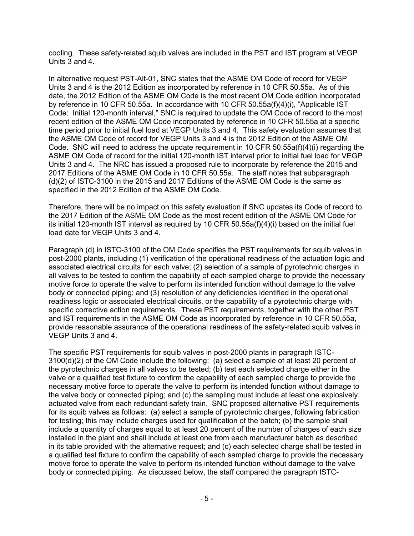cooling. These safety-related squib valves are included in the PST and IST program at VEGP Units 3 and 4.

In alternative request PST-Alt-01, SNC states that the ASME OM Code of record for VEGP Units 3 and 4 is the 2012 Edition as incorporated by reference in 10 CFR 50.55a. As of this date, the 2012 Edition of the ASME OM Code is the most recent OM Code edition incorporated by reference in 10 CFR 50.55a. In accordance with 10 CFR 50.55a(f)(4)(i), "Applicable IST Code: Initial 120-month interval," SNC is required to update the OM Code of record to the most recent edition of the ASME OM Code incorporated by reference in 10 CFR 50.55a at a specific time period prior to initial fuel load at VEGP Units 3 and 4. This safety evaluation assumes that the ASME OM Code of record for VEGP Units 3 and 4 is the 2012 Edition of the ASME OM Code. SNC will need to address the update requirement in 10 CFR 50.55a(f)(4)(i) regarding the ASME OM Code of record for the initial 120-month IST interval prior to initial fuel load for VEGP Units 3 and 4. The NRC has issued a proposed rule to incorporate by reference the 2015 and 2017 Editions of the ASME OM Code in 10 CFR 50.55a. The staff notes that subparagraph (d)(2) of ISTC-3100 in the 2015 and 2017 Editions of the ASME OM Code is the same as specified in the 2012 Edition of the ASME OM Code.

Therefore, there will be no impact on this safety evaluation if SNC updates its Code of record to the 2017 Edition of the ASME OM Code as the most recent edition of the ASME OM Code for its initial 120-month IST interval as required by 10 CFR 50.55a(f)(4)(i) based on the initial fuel load date for VEGP Units 3 and 4.

Paragraph (d) in ISTC-3100 of the OM Code specifies the PST requirements for squib valves in post-2000 plants, including (1) verification of the operational readiness of the actuation logic and associated electrical circuits for each valve; (2) selection of a sample of pyrotechnic charges in all valves to be tested to confirm the capability of each sampled charge to provide the necessary motive force to operate the valve to perform its intended function without damage to the valve body or connected piping; and (3) resolution of any deficiencies identified in the operational readiness logic or associated electrical circuits, or the capability of a pyrotechnic charge with specific corrective action requirements. These PST requirements, together with the other PST and IST requirements in the ASME OM Code as incorporated by reference in 10 CFR 50.55a, provide reasonable assurance of the operational readiness of the safety-related squib valves in VEGP Units 3 and 4.

The specific PST requirements for squib valves in post-2000 plants in paragraph ISTC-3100(d)(2) of the OM Code include the following: (a) select a sample of at least 20 percent of the pyrotechnic charges in all valves to be tested; (b) test each selected charge either in the valve or a qualified test fixture to confirm the capability of each sampled charge to provide the necessary motive force to operate the valve to perform its intended function without damage to the valve body or connected piping; and (c) the sampling must include at least one explosively actuated valve from each redundant safety train. SNC proposed alternative PST requirements for its squib valves as follows: (a) select a sample of pyrotechnic charges, following fabrication for testing; this may include charges used for qualification of the batch; (b) the sample shall include a quantity of charges equal to at least 20 percent of the number of charges of each size installed in the plant and shall include at least one from each manufacturer batch as described in its table provided with the alternative request; and (c) each selected charge shall be tested in a qualified test fixture to confirm the capability of each sampled charge to provide the necessary motive force to operate the valve to perform its intended function without damage to the valve body or connected piping. As discussed below, the staff compared the paragraph ISTC-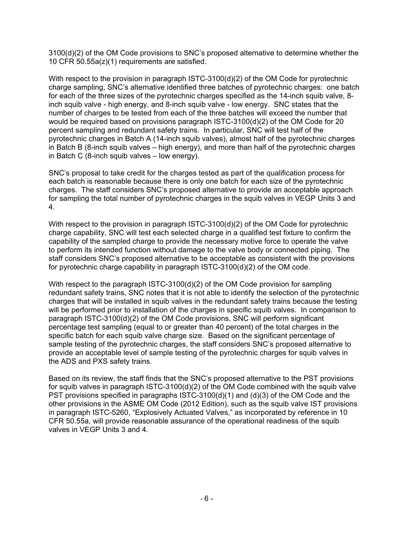3100(d)(2) of the OM Code provisions to SNC's proposed alternative to determine whether the 10 CFR 50.55a(z)(1) requirements are satisfied.

With respect to the provision in paragraph ISTC-3100(d)(2) of the OM Code for pyrotechnic charge sampling, SNC's alternative identified three batches of pyrotechnic charges: one batch for each of the three sizes of the pyrotechnic charges specified as the 14-inch squib valve, 8 inch squib valve - high energy, and 8-inch squib valve - low energy. SNC states that the number of charges to be tested from each of the three batches will exceed the number that would be required based on provisions paragraph ISTC-3100(d)(2) of the OM Code for 20 percent sampling and redundant safety trains. In particular, SNC will test half of the pyrotechnic charges in Batch A (14-inch squib valves), almost half of the pyrotechnic charges in Batch B (8-inch squib valves – high energy), and more than half of the pyrotechnic charges in Batch C (8-inch squib valves – low energy).

SNC's proposal to take credit for the charges tested as part of the qualification process for each batch is reasonable because there is only one batch for each size of the pyrotechnic charges. The staff considers SNC's proposed alternative to provide an acceptable approach for sampling the total number of pyrotechnic charges in the squib valves in VEGP Units 3 and 4.

With respect to the provision in paragraph ISTC-3100(d)(2) of the OM Code for pyrotechnic charge capability, SNC will test each selected charge in a qualified test fixture to confirm the capability of the sampled charge to provide the necessary motive force to operate the valve to perform its intended function without damage to the valve body or connected piping. The staff considers SNC's proposed alternative to be acceptable as consistent with the provisions for pyrotechnic charge capability in paragraph ISTC-3100(d)(2) of the OM code.

With respect to the paragraph ISTC-3100(d)(2) of the OM Code provision for sampling redundant safety trains, SNC notes that it is not able to identify the selection of the pyrotechnic charges that will be installed in squib valves in the redundant safety trains because the testing will be performed prior to installation of the charges in specific squib valves. In comparison to paragraph ISTC-3100(d)(2) of the OM Code provisions, SNC will perform significant percentage test sampling (equal to or greater than 40 percent) of the total charges in the specific batch for each squib valve charge size. Based on the significant percentage of sample testing of the pyrotechnic charges, the staff considers SNC's proposed alternative to provide an acceptable level of sample testing of the pyrotechnic charges for squib valves in the ADS and PXS safety trains.

Based on its review, the staff finds that the SNC's proposed alternative to the PST provisions for squib valves in paragraph ISTC-3100(d)(2) of the OM Code combined with the squib valve PST provisions specified in paragraphs ISTC-3100(d)(1) and (d)(3) of the OM Code and the other provisions in the ASME OM Code (2012 Edition), such as the squib valve IST provisions in paragraph ISTC-5260, "Explosively Actuated Valves," as incorporated by reference in 10 CFR 50.55a, will provide reasonable assurance of the operational readiness of the squib valves in VEGP Units 3 and 4.